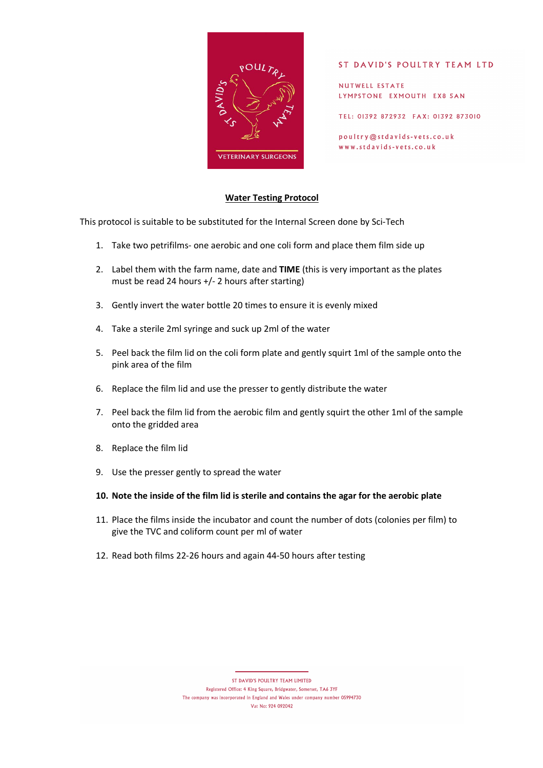

### ST DAVID'S POULTRY TEAM LTD

NUTWELL ESTATE LYMPSTONE EXMOUTH EX8 5AN

TEL: 01392 872932 FAX: 01392 873010

poultry@stdavids-vets.co.uk www.stdavids-vets.co.uk

## **Water Testing Protocol**

This protocol is suitable to be substituted for the Internal Screen done by Sci-Tech

- 1. Take two petrifilms- one aerobic and one coli form and place them film side up
- 2. Label them with the farm name, date and **TIME** (this is very important as the plates must be read 24 hours +/- 2 hours after starting)
- 3. Gently invert the water bottle 20 times to ensure it is evenly mixed
- 4. Take a sterile 2ml syringe and suck up 2ml of the water
- 5. Peel back the film lid on the coli form plate and gently squirt 1ml of the sample onto the pink area of the film
- 6. Replace the film lid and use the presser to gently distribute the water
- 7. Peel back the film lid from the aerobic film and gently squirt the other 1ml of the sample onto the gridded area
- 8. Replace the film lid
- 9. Use the presser gently to spread the water
- **10. Note the inside of the film lid is sterile and contains the agar for the aerobic plate**
- 11. Place the films inside the incubator and count the number of dots (colonies per film) to give the TVC and coliform count per ml of water
- 12. Read both films 22-26 hours and again 44-50 hours after testing